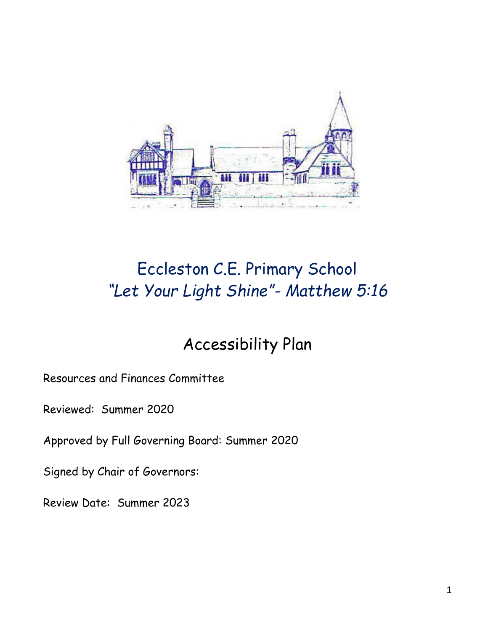

# Eccleston C.E. Primary School *"Let Your Light Shine"- Matthew 5:16*

# Accessibility Plan

Resources and Finances Committee

Reviewed: Summer 2020

Approved by Full Governing Board: Summer 2020

Signed by Chair of Governors:

Review Date: Summer 2023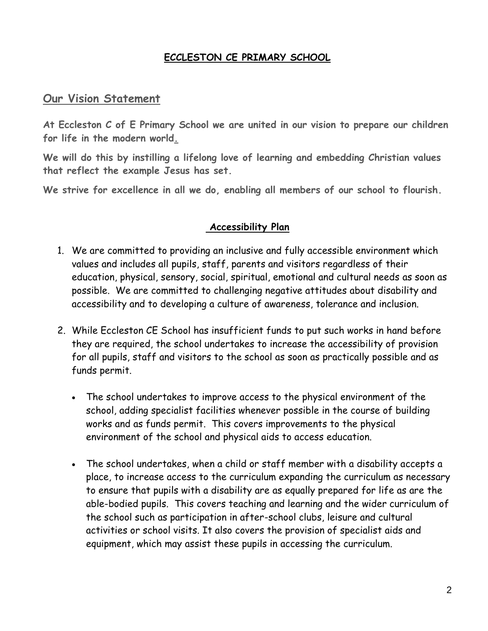## **ECCLESTON CE PRIMARY SCHOOL**

## **Our Vision Statement**

**At Eccleston C of E Primary School we are united in our vision to prepare our children for life in the modern world.**

**We will do this by instilling a lifelong love of learning and embedding Christian values that reflect the example Jesus has set.**

**We strive for excellence in all we do, enabling all members of our school to flourish.**

### **Accessibility Plan**

- 1. We are committed to providing an inclusive and fully accessible environment which values and includes all pupils, staff, parents and visitors regardless of their education, physical, sensory, social, spiritual, emotional and cultural needs as soon as possible. We are committed to challenging negative attitudes about disability and accessibility and to developing a culture of awareness, tolerance and inclusion.
- 2. While Eccleston CE School has insufficient funds to put such works in hand before they are required, the school undertakes to increase the accessibility of provision for all pupils, staff and visitors to the school as soon as practically possible and as funds permit.
	- The school undertakes to improve access to the physical environment of the school, adding specialist facilities whenever possible in the course of building works and as funds permit. This covers improvements to the physical environment of the school and physical aids to access education.
	- The school undertakes, when a child or staff member with a disability accepts a place, to increase access to the curriculum expanding the curriculum as necessary to ensure that pupils with a disability are as equally prepared for life as are the able-bodied pupils. This covers teaching and learning and the wider curriculum of the school such as participation in after-school clubs, leisure and cultural activities or school visits. It also covers the provision of specialist aids and equipment, which may assist these pupils in accessing the curriculum.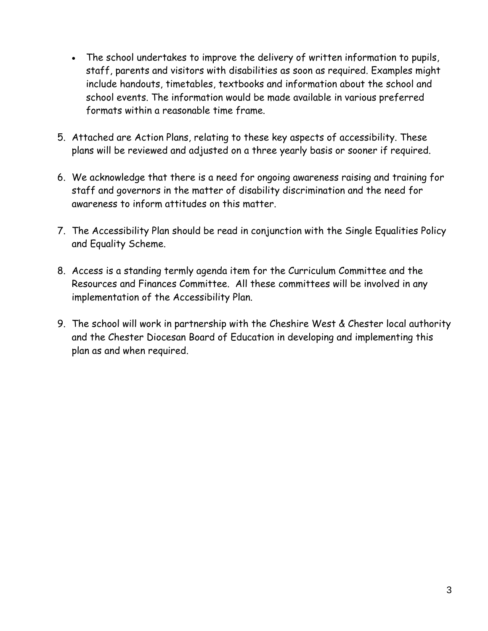- The school undertakes to improve the delivery of written information to pupils, staff, parents and visitors with disabilities as soon as required. Examples might include handouts, timetables, textbooks and information about the school and school events. The information would be made available in various preferred formats within a reasonable time frame.
- 5. Attached are Action Plans, relating to these key aspects of accessibility. These plans will be reviewed and adjusted on a three yearly basis or sooner if required.
- 6. We acknowledge that there is a need for ongoing awareness raising and training for staff and governors in the matter of disability discrimination and the need for awareness to inform attitudes on this matter.
- 7. The Accessibility Plan should be read in conjunction with the Single Equalities Policy and Equality Scheme.
- 8. Access is a standing termly agenda item for the Curriculum Committee and the Resources and Finances Committee. All these committees will be involved in any implementation of the Accessibility Plan.
- 9. The school will work in partnership with the Cheshire West & Chester local authority and the Chester Diocesan Board of Education in developing and implementing this plan as and when required.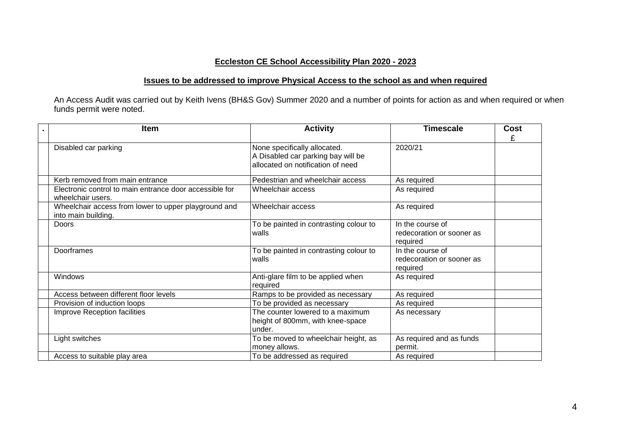#### **Eccleston CE School Accessibility Plan 2020 - 2023**

#### **Issues to be addressed to improve Physical Access to the school as and when required**

An Access Audit was carried out by Keith Ivens (BH&S Gov) Summer 2020 and a number of points for action as and when required or when funds permit were noted.

| $\blacksquare$ | <b>Item</b>                                             | <b>Activity</b>                        | <b>Timescale</b>          | <b>Cost</b> |
|----------------|---------------------------------------------------------|----------------------------------------|---------------------------|-------------|
|                |                                                         |                                        |                           | £           |
|                | Disabled car parking                                    | None specifically allocated.           | 2020/21                   |             |
|                |                                                         | A Disabled car parking bay will be     |                           |             |
|                |                                                         | allocated on notification of need      |                           |             |
|                | Kerb removed from main entrance                         | Pedestrian and wheelchair access       | As required               |             |
|                | Electronic control to main entrance door accessible for | Wheelchair access                      | As required               |             |
|                | wheelchair users.                                       |                                        |                           |             |
|                | Wheelchair access from lower to upper playground and    | Wheelchair access                      | As required               |             |
|                | into main building.                                     |                                        |                           |             |
|                | Doors                                                   | To be painted in contrasting colour to | In the course of          |             |
|                |                                                         | walls                                  | redecoration or sooner as |             |
|                |                                                         |                                        | required                  |             |
|                | Doorframes                                              | To be painted in contrasting colour to | In the course of          |             |
|                |                                                         | walls                                  | redecoration or sooner as |             |
|                |                                                         |                                        | required                  |             |
|                | Windows                                                 | Anti-glare film to be applied when     | As required               |             |
|                |                                                         | reauired                               |                           |             |
|                | Access between different floor levels                   | Ramps to be provided as necessary      | As required               |             |
|                | Provision of induction loops                            | To be provided as necessary            | As required               |             |
|                | Improve Reception facilities                            | The counter lowered to a maximum       | As necessary              |             |
|                |                                                         | height of 800mm, with knee-space       |                           |             |
|                |                                                         | under.                                 |                           |             |
|                | Light switches                                          | To be moved to wheelchair height, as   | As required and as funds  |             |
|                |                                                         | money allows.                          | permit.                   |             |
|                | Access to suitable play area                            | To be addressed as required            | As required               |             |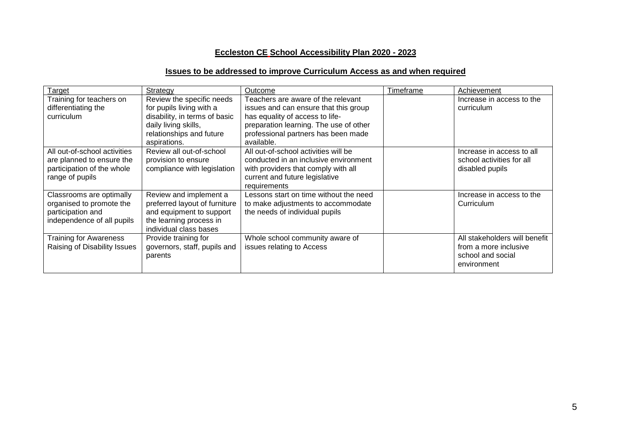# **Eccleston CE School Accessibility Plan 2020 - 2023**

## **Issues to be addressed to improve Curriculum Access as and when required**

| Target                                                                                                     | Strategy                                                                                                                                                   | Outcome                                                                                                                                                                                                       | Timeframe | Achievement                                                                                |
|------------------------------------------------------------------------------------------------------------|------------------------------------------------------------------------------------------------------------------------------------------------------------|---------------------------------------------------------------------------------------------------------------------------------------------------------------------------------------------------------------|-----------|--------------------------------------------------------------------------------------------|
| Training for teachers on<br>differentiating the<br>curriculum                                              | Review the specific needs<br>for pupils living with a<br>disability, in terms of basic<br>daily living skills,<br>relationships and future<br>aspirations. | Teachers are aware of the relevant<br>issues and can ensure that this group<br>has equality of access to life-<br>preparation learning. The use of other<br>professional partners has been made<br>available. |           | Increase in access to the<br>curriculum                                                    |
| All out-of-school activities<br>are planned to ensure the<br>participation of the whole<br>range of pupils | Review all out-of-school<br>provision to ensure<br>compliance with legislation                                                                             | All out-of-school activities will be<br>conducted in an inclusive environment<br>with providers that comply with all<br>current and future legislative<br>requirements                                        |           | Increase in access to all<br>school activities for all<br>disabled pupils                  |
| Classrooms are optimally<br>organised to promote the<br>participation and<br>independence of all pupils    | Review and implement a<br>preferred layout of furniture<br>and equipment to support<br>the learning process in<br>individual class bases                   | Lessons start on time without the need<br>to make adjustments to accommodate<br>the needs of individual pupils                                                                                                |           | Increase in access to the<br>Curriculum                                                    |
| <b>Training for Awareness</b><br>Raising of Disability Issues                                              | Provide training for<br>governors, staff, pupils and<br>parents                                                                                            | Whole school community aware of<br>issues relating to Access                                                                                                                                                  |           | All stakeholders will benefit<br>from a more inclusive<br>school and social<br>environment |